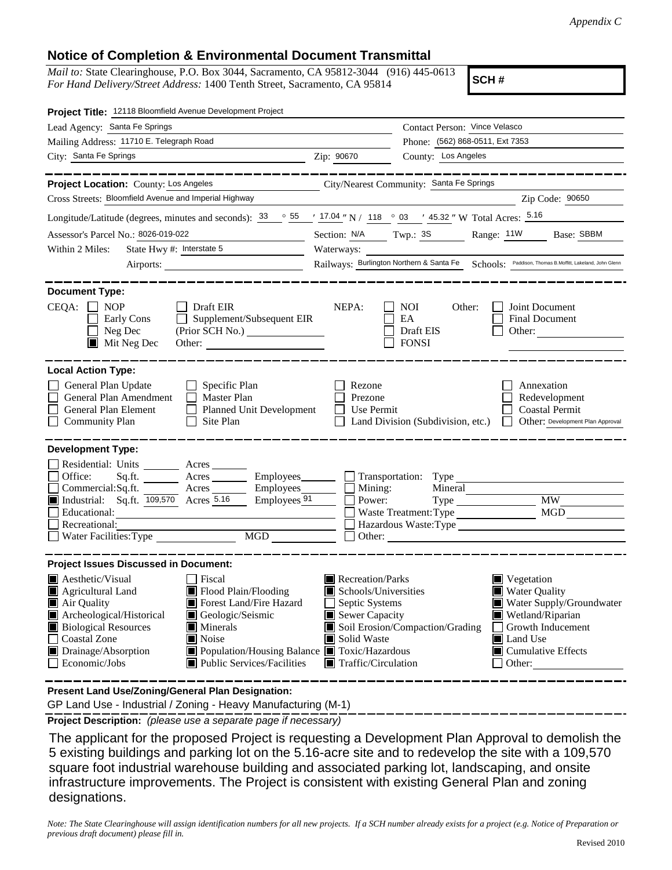## **Notice of Completion & Environmental Document Transmittal**

*Mail to:* State Clearinghouse, P.O. Box 3044, Sacramento, CA 95812-3044 (916) 445-0613 *For Hand Delivery/Street Address:* 1400 Tenth Street, Sacramento, CA 95814

**SCH #**

| Lead Agency: Santa Fe Springs                                                                                                                                                 |                                                  | Contact Person: Vince Velasco                                                                                                                                                                                                                                                                                                                                                                                                                                                                                                                                                                                                                                                        |  |  |
|-------------------------------------------------------------------------------------------------------------------------------------------------------------------------------|--------------------------------------------------|--------------------------------------------------------------------------------------------------------------------------------------------------------------------------------------------------------------------------------------------------------------------------------------------------------------------------------------------------------------------------------------------------------------------------------------------------------------------------------------------------------------------------------------------------------------------------------------------------------------------------------------------------------------------------------------|--|--|
|                                                                                                                                                                               | Phone: (562) 868-0511, Ext 7353                  |                                                                                                                                                                                                                                                                                                                                                                                                                                                                                                                                                                                                                                                                                      |  |  |
| Zip: 90670                                                                                                                                                                    | County: Los Angeles                              |                                                                                                                                                                                                                                                                                                                                                                                                                                                                                                                                                                                                                                                                                      |  |  |
|                                                                                                                                                                               |                                                  |                                                                                                                                                                                                                                                                                                                                                                                                                                                                                                                                                                                                                                                                                      |  |  |
|                                                                                                                                                                               |                                                  |                                                                                                                                                                                                                                                                                                                                                                                                                                                                                                                                                                                                                                                                                      |  |  |
|                                                                                                                                                                               |                                                  | Zip Code: 90650                                                                                                                                                                                                                                                                                                                                                                                                                                                                                                                                                                                                                                                                      |  |  |
| Longitude/Latitude (degrees, minutes and seconds): $\frac{33}{55}$ $\frac{55}{17.04}$ N / $\frac{118}{18}$ $\frac{03}{5}$ $\frac{45.32}{17}$ W Total Acres: $\frac{5.16}{16}$ |                                                  |                                                                                                                                                                                                                                                                                                                                                                                                                                                                                                                                                                                                                                                                                      |  |  |
|                                                                                                                                                                               |                                                  | Range: 11W<br>Base: SBBM                                                                                                                                                                                                                                                                                                                                                                                                                                                                                                                                                                                                                                                             |  |  |
|                                                                                                                                                                               |                                                  |                                                                                                                                                                                                                                                                                                                                                                                                                                                                                                                                                                                                                                                                                      |  |  |
|                                                                                                                                                                               |                                                  |                                                                                                                                                                                                                                                                                                                                                                                                                                                                                                                                                                                                                                                                                      |  |  |
| NEPA:<br>$\Box$ Supplement/Subsequent EIR<br>Other:                                                                                                                           | NOI<br>Other:<br>EA<br>Draft EIS<br><b>FONSI</b> | Joint Document<br><b>Final Document</b><br>Other: $\qquad \qquad$                                                                                                                                                                                                                                                                                                                                                                                                                                                                                                                                                                                                                    |  |  |
| Rezone<br>Prezone<br>Planned Unit Development                                                                                                                                 |                                                  | Annexation<br>Redevelopment<br><b>Coastal Permit</b><br>Other: Development Plan Approval                                                                                                                                                                                                                                                                                                                                                                                                                                                                                                                                                                                             |  |  |
|                                                                                                                                                                               |                                                  |                                                                                                                                                                                                                                                                                                                                                                                                                                                                                                                                                                                                                                                                                      |  |  |
|                                                                                                                                                                               |                                                  |                                                                                                                                                                                                                                                                                                                                                                                                                                                                                                                                                                                                                                                                                      |  |  |
|                                                                                                                                                                               |                                                  |                                                                                                                                                                                                                                                                                                                                                                                                                                                                                                                                                                                                                                                                                      |  |  |
|                                                                                                                                                                               |                                                  | <b>MW</b>                                                                                                                                                                                                                                                                                                                                                                                                                                                                                                                                                                                                                                                                            |  |  |
|                                                                                                                                                                               |                                                  | <b>MGD</b>                                                                                                                                                                                                                                                                                                                                                                                                                                                                                                                                                                                                                                                                           |  |  |
|                                                                                                                                                                               |                                                  |                                                                                                                                                                                                                                                                                                                                                                                                                                                                                                                                                                                                                                                                                      |  |  |
|                                                                                                                                                                               |                                                  |                                                                                                                                                                                                                                                                                                                                                                                                                                                                                                                                                                                                                                                                                      |  |  |
|                                                                                                                                                                               |                                                  |                                                                                                                                                                                                                                                                                                                                                                                                                                                                                                                                                                                                                                                                                      |  |  |
| Solid Waste<br>$\blacksquare$ Public Services/Facilities                                                                                                                      |                                                  | Vegetation<br><b>Water Quality</b><br>Water Supply/Groundwater<br>Wetland/Riparian<br>Growth Inducement<br>Land Use<br>Cumulative Effects<br>Other:                                                                                                                                                                                                                                                                                                                                                                                                                                                                                                                                  |  |  |
|                                                                                                                                                                               | Employees 91<br>Power:<br>MGD NG                 | City/Nearest Community: Santa Fe Springs<br>Section: N/A Twp.: 3S<br>Railways: Burlington Northern & Santa Fe Schools: Paddison, Thomas B.Moffitt, Lakeland, John Glenn<br>Use Permit<br>Land Division (Subdivision, etc.)<br>Sq.ft. ________ Acres _________ Employees _______ __ Transportation: Type ________<br>Commercial:Sq.ft. ________ Acres ________ Employees _______ $\Box$ Mining:<br>Mineral<br>Waste Treatment: Type<br>Hazardous Waste:Type<br>$\blacksquare$ Recreation/Parks<br>Schools/Universities<br>Septic Systems<br>Sewer Capacity<br>Soil Erosion/Compaction/Grading<br>■ Population/Housing Balance ■ Toxic/Hazardous<br>$\blacksquare$ Traffic/Circulation |  |  |

**Present Land Use/Zoning/General Plan Designation:**

GP Land Use - Industrial / Zoning - Heavy Manufacturing (M-1)

**Project Description:** *(please use a separate page if necessary)*

 The applicant for the proposed Project is requesting a Development Plan Approval to demolish the 5 existing buildings and parking lot on the 5.16-acre site and to redevelop the site with a 109,570 square foot industrial warehouse building and associated parking lot, landscaping, and onsite infrastructure improvements. The Project is consistent with existing General Plan and zoning designations.

*Note: The State Clearinghouse will assign identification numbers for all new projects. If a SCH number already exists for a project (e.g. Notice of Preparation or previous draft document) please fill in.*